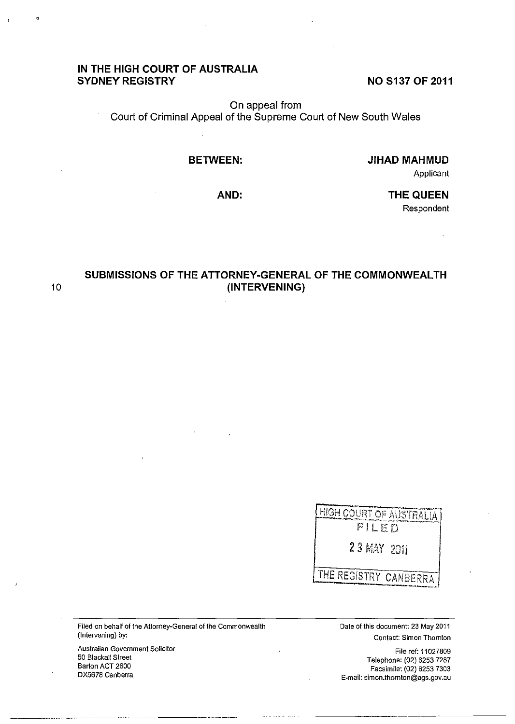# **IN THE HIGH COURT OF AUSTRALIA SYDNEY REGISTRY**

**NO S137 OF 2011** 

On appeal from Court of Criminal Appeal of the Supreme Court of New South Wales

## **BETWEEN:**

**JIHAD MAHMUD** 

Applicant

**AND:** 

**THE QUEEN**  Respondent

**SUBMISSIONS OF THE ATTORNEY-GENERAL OF THE COMMONWEALTH**  10 **(INTERVENING)** 

> HIGH COURT OF AUSTRALIA FILED 23 MAY 2011 THE REGISTRY CANBERRA

**Filed on behalf of the Attorney-General of the Commonwealth**  (Intervening) by:

**Australian Government Solicitor**  50 Blackall Street Barton ACT 2600 DX5678 Canberra

----------------------

Date of this document: 23 May 2011 **Contact: Simon Thornton** 

File ref: 11027809 Telephone: (02) 6253 7287 Facsimile: (02) 6253 7303 **E-mail: simon.thornton@ags.gov.au**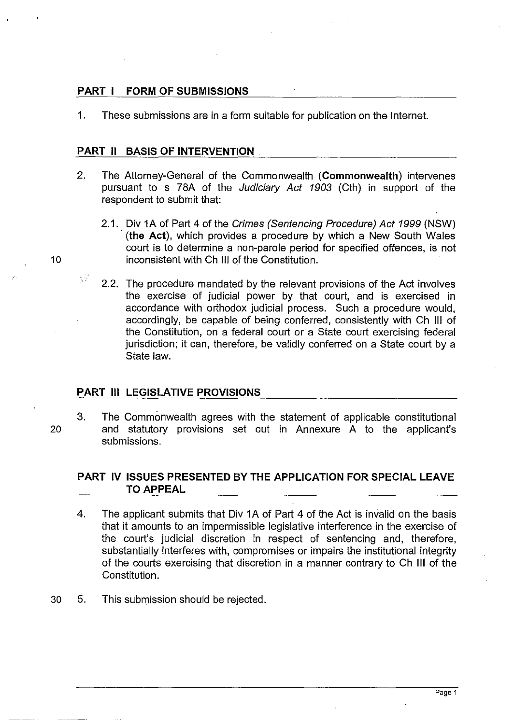# **PART I FORM OF SUBMISSIONS**

1. These submissions are in a form suitable for publication on the Intemet.

## **PART 11 BASIS OF INTERVENTION.**

- 2. The Attomey-General of the Commonwealth **(Commonwealth)** intervenes pursuant to s 78A of the Judiciary Act 1903 (Cth) in support of the respondent to submit that:
- 2.1. Div **1A** of Part 4 of the Crimes (Sentencing Procedure) Act 1999 (NSW) . **(the** Act), which provides a procedure by which a New South Wales court is to determine a non-parole period for specified offences, is not 10 inconsistent with Ch **III** of the Constitution.
	- 2.2. The procedure mandated by the relevant provisions of the Act involves the exercise of judicial power by that court, and is exercised in accordance with orthodox judicial process. Such a procedure would, accordingly, be capable of being conferred, consistently with Ch III of the Constitution, on a federal court or a State court exercising federal jurisdiction; it can, therefore, be validly conferred on a State court by a State law.

## **PART III LEGISLATIVE PROVISIONS**

5F

3. The Commonwealth agrees with the statement of applicable constitutional 20 and statutory provisions set out in Annexure A to the applicant's submissions.

# **PART IV ISSUES PRESENTED BY THE APPLICATION FOR SPECIAL LEAVE**  TO APPEAL

- 4. The applicant submits that Div **1A** of Part 4 of the Act is invalid on the basis that it amounts to an impermissible legislative interference in the exercise of the court's judicial discretion in respect of sentencing and, therefore, substantially interferes with, compromises or impairs the institutional integrity of the courts exercising that discretion in a manner contrary to Ch III of the Constitution.
- 30 5. This submission should be rejected.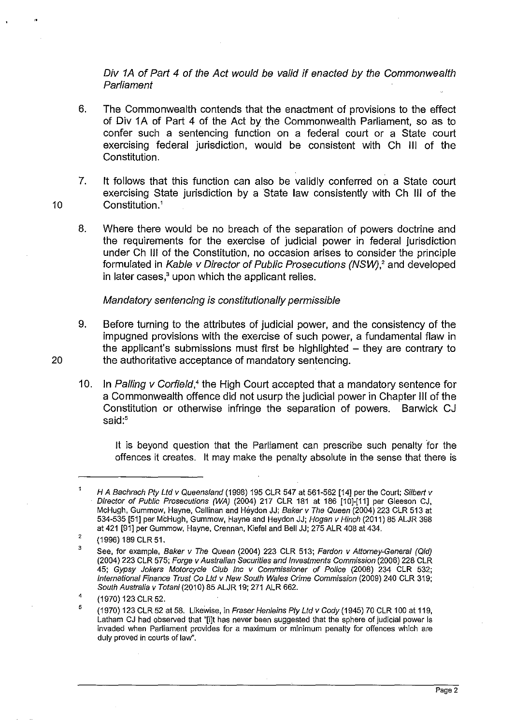Div 1A of Part 4 of the Act would be valid if enacted by the Commonwealth Parliament

6. The Commonwealth contends that the enactment of provisions to the effect of Div 1A of Part 4 of the Act by the Commonwealth Parliament, so as to confer such a sentencing function on a federal court or a State court exercising federal jurisdiction, would be consistent with Ch III of the Constitution.

7. It follows that this function can also be validly conferred on a State court exercising State jurisdiction by a State law consistently with Ch III of the 10 Constitution.'

8. Where there would be no breach of the separation of powers doctrine and the requirements for the exercise of judicial power in federal jurisdiction under Ch III of the Constitution, no occasion arises to consider the principle formulated in Kable v Director of Public Prosecutions (NSW),<sup>2</sup> and developed in later cases,<sup>3</sup> upon which the applicant relies.

Mandatory sentencing is constitutionally permissible

- 9. Before turning to the attributes of judicial power, and the consistency of the impugned provisions with the exercise of such power, a fundamental flaw in the applicant's submissions must first be highlighted  $-$  they are contrary to 20 the authoritative acceptance of mandatory sentencing.
	- 10. In Palling v Corfield,<sup>4</sup> the High Court accepted that a mandatory sentence for a Commonwealth offence did not usurp the judicial power in Chapter III of the Constitution or otherwise infringe the separation of powers. Barwick CJ said:<sup>5</sup>

It is beyond question that the Parliament can prescribe such penalty for the offences it creates. It may make the penalty absolute in the sense that there is

H A Bachrach Pty Ltd v Queensland (1998) 195 CLR 547 at 561-562 [14] per the Court; Silbert v . Director of Public Prosecutions (WA) (2004) 217 CLR 181 at 186 [10]-[11] per Gleeson CJ, McHugh, Gummow, Hayne, Callinan and Heydon JJ; Baker v The Queen (2004) 223 CLR 513 at 534-535 [51] per McHugh, Gummow, Hayne and Heydon JJ; Hogan v Hinch (2011) 85 ALJR 398 at 421 [91] per Gummow, Hayne, Crennan, Kiefel and Bell JJ; 275 ALR 408 at 434.

<sup>,</sup>  (1996) 189 CLR 51.

<sup>3</sup>  See, for example, Baker v The Queen (2004) 223 CLR 513; Fardon v Attorney-General (Qld) (2004) 223 CLR 575; Forge v Australian Securities and Investments Commission (2006) 228 CLR 45; Gypsy Jokers Motorcycle Club Inc v Commissioner of Police (2008) 234 CLR 532; International Finance Trust Co Lld v New South Wales Crime Commission (2009) 240 CLR 319; South Australia v Totani (2010) 85 ALJR 19; 271 ALR 662.

<sup>4</sup>  (1970) 123 CLR 52.

<sup>5</sup>  (1970) 123 CLR 52 at 58. Likewise, in Fraser Henleins Pty Lld v Cody (1945) 70 CLR 100 at 119, Latham CJ had observed that "[i]t has never been suggested that the sphere of judicial power is invaded when Parliament provides for a maximum or minimum penalty for offences which are duly proved in courts of law".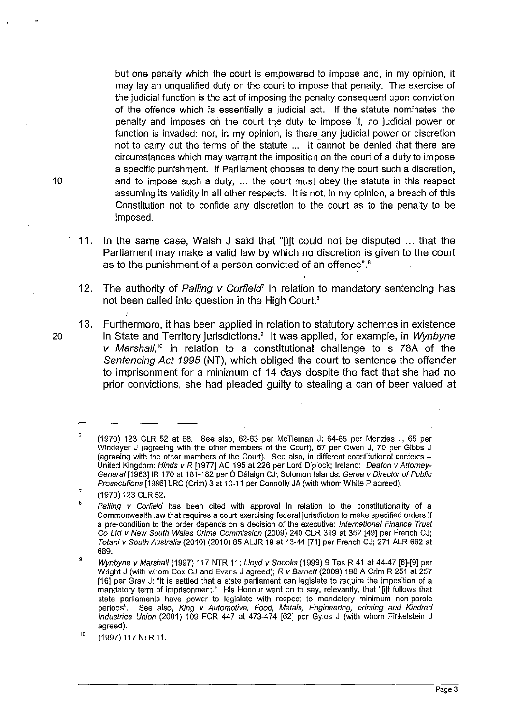but one penalty which the court is empowered to impose and, in my opinion, it may lay an unqualified duty on the court to impose that penalty. The exercise of the judicial function is the act of imposing the penalty consequent upon conviction of the offence which is essentially a judicial act. If the statute nominates the penalty and imposes on the court the duty to impose it, no judicial power or function is invaded: nor, in my opinion, is there any judicial power or discretion not to carry out the terms of the statute ... It cannot be denied that there are circumstances which may warrant the imposition on the court of a duty to impose a specific punishment. If Parliament chooses to deny the court such a discretion, and to impose such a duty, ... the court must obey the statute in this respect assuming its validity in all other respects. It is not, in my opinion, a breach of this Constitution not to confide any discretion to the court as to the penalty to be imposed.

- 11. In the same case, Walsh J said that "[i]t could not be disputed ... that the Parliament may make a valid law by which no discretion is given to the court as to the punishment of a person convicted of an offence".<sup>6</sup>
- 12. The authority of Palling  $v$  Corfield<sup> $r$ </sup> in relation to mandatory sentencing has not been called into question in the High Court.<sup>8</sup>
- 13. Furthermore, it has been applied in relation to statutory schemes in existence 20 in State and Territory jurisdictions.<sup>9</sup> It was applied, for example, in Wynbyne *v* Marshall,<sup>10</sup> in relation to a constitutional challenge to s 78A of the Sentencing Act 1995 (NT), which obliged the court to sentence the offender to imprisonment for a minimum of 14 days despite the fact that she had no prior convictions, she had pleaded guilty to stealing a can of beer valued at

<sup>,</sup>  (1970) 123 CLR 52 at 68. See also, 62-63 per McTiernan J; 64-65 per Menzies J, 65 per Windeyer J (agreeing with the other members of the Court), 67 per Owen J, 70 per Gibbs J (agreeing with the other members of the Court). See also, in different constitutional contexts -United Kingdom: Hinds v R [1977] AC 195 at 226 per Lord Oiplock; Ireland: Deaton v Attorney-General [1963] IR 170 at 181-182 per Ó Dálaign CJ; Solomon Islands: Gerea *v Director of Public* Prosecutions [1986] LRC (Crim) 3 at 10-11 per Connolly JA (with whom White P agreed).

<sup>7</sup>  (1970) 123 CLR 52.

<sup>,</sup>  , Palling *v* Corfield has been cited with approval in relation to the constitutionality of a Commonwealth law that requires a court exercising federal jurisdiction to make specified orders if a pre-condition to the order depends on a decision of the executive: International Finance Trust Co Ltd *v* New South Wales Crime Commission (2009) 240 CLR 319 at 352 [49] per French CJ; Totani *v* South Australia (2010) (2010) 85 ALJR 19 at 43-44 [71] per French CJ; 271 ALR 662 at 689.

Wynbyne v Marshall (1997) 117 NTR 11; Lloyd v Snooks (1999) 9 Tas R 41 at 44-47 [6]-[9] per Wright J (with whom Cox CJ and Evans J agreed); Rv Barnett (2009) 198 A Crim R 251 at 257 [16] per Gray J: "It is settled that a state parliament can legislate to require the imposition of a mandatory term of imprisonment." His Honour went on to say, relevantly, that '"[i]t follows that state parliaments have power to legislate with respect to mandatory minimum non-parole periods". See also, King v Automotive, Food, Metals, Engineering, printing and Kindred Industries Union (2001) 109 FCR 447 at 473-474 [62] per Gyles J (with whom Finkelstein J agreed).

<sup>10</sup>  (1997) 117 NTR 11.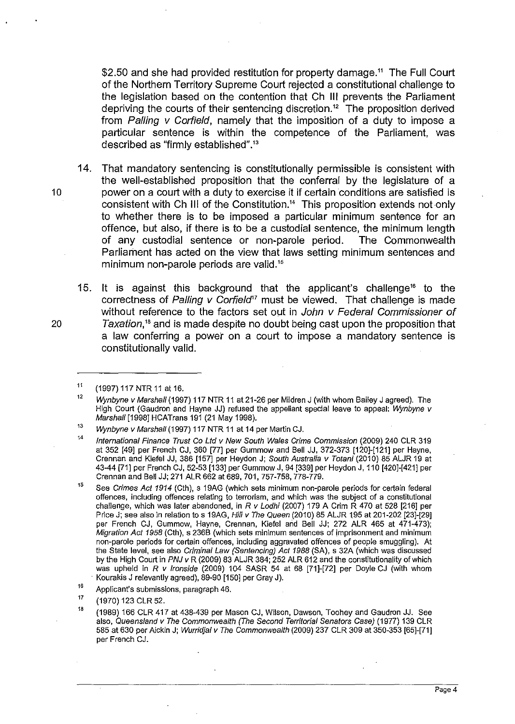\$2.50 and she had provided restitution for property damage.<sup>11</sup> The Full Court of the Northern Territory Supreme Court rejected a constitutional challenge to the legislation based on the contention that Ch **III** prevents the Parliament depriving the courts of their sentencing discretion.'2 The proposition derived from Palling v Corfield, namely that the imposition of a duty to impose a particular sentence is within the competence of the Parliament, was described as "firmly established".13

14. That mandatory sentencing is constitutionally permissible is consistent with the well-established proposition that the conferral by the legislature of a 10 power on a court with a duty to exercise it if certain conditions are satisfied is consistent with Ch III of the Constitution.14 This proposition extends not only to whether there is to be imposed a particular minimum sentence for an offence, but also, if there is to be a custodial sentence, the minimum length of any custodial sentence or non-parole period. The Commonwealth Parliament has acted on the view that laws setting minimum sentences and minimum non-parole periods are valid.<sup>15</sup>

15. It is against this background that the applicant's challenge16 to the correctness of Palling  $v$  Corfield<sup>17</sup> must be viewed. That challenge is made without reference to the factors set out in John v Federal Commissioner of 20 Taxation,18 and is made despite no doubt being cast upon the proposition that a law conferring a power on a court to impose a mandatory sentence is constitutionally valid.

<sup>11</sup>  (1997) 117 NTR 11 at 16.

<sup>12</sup>  Wynbyne v Marshall (1997) 117 NTR 11 at 21-26 per Mildren J (with whom Bailey J agreed). The High Court (Gaudron and Hayne JJ) refused the appellant special leave to appeal: Wynbyne v Marshall [1998J HCATrans 191 (21 May 1998).

<sup>13</sup>  Wynbyne v Marshall (1997) 117 NTR 11 at 14 per Martin CJ.

<sup>14</sup>  International Finance Trust Co Lld v New South Wales Crime Commission (2009) 240 CLR 319 at 352 [49J per French CJ, 360 [77J per Gummow and Bell JJ, 372-373 [120J-[121J per Hayne, Crennan and Kiefel JJ, 386 [157J per Heydon J; South Australia v Totani (2010) 85 ALJR 19 at 43-44 [71J per French CJ, 52-53 [133J per Gummow J, 94 [339J per Heydon J, 110 [420J-[421J per Crennan and Bell JJ; 271 ALR 662 at 689, 701, 757-758, 778-779.

<sup>15</sup>  See Crimes Act 1914 (Cth), s 19AG (which sets minimum non-parole periods for certain federal offences, including offences relating to terrorism, and which was the subject of a constitutional challenge, which was later abandoned, in R v Lodhi (2007) 179 A Crim R 470 at 528 [216] per Price J; see also in relation to s 19AG, Hili v The Queen (2010) 85 ALJR 195 at 201-202 [23]-[29] per French CJ, Gummow, Hayne, Crennan, Kiefel and Bell JJ; 272 ALR 465 at 471-473); Migration Act 1958 (Cth), s 236B (which sets minimum sentences of imprisonment and minimum non-parole periods for certain offences, including aggravated offences of people smuggling). At the State level, see also Criminal Law (Sentencing) Act 1988 (SA), s 32A (which was discussed by the High Court in PNJ *v* R (2009) 83 ALJR 384; 252 ALR 612 and the constitutionality of which was upheld in *R v Ironside* (2009) 104 SASR 54 at 68 [71]-[72] per Doyle CJ (with whom . Kourakis J relevantly agreed), 89-90 [150J per Gray J).

<sup>16</sup>  Applicant's submissions, paragraph 46.

<sup>17</sup>  (1970) 123 CLR 52.

<sup>18</sup>  (1989) 166 CLR 417 at 438-439 per Mason CJ, Wilson, Dawson, Toohey and Gaudron JJ. See also, Queensland v The Commonwealth (The Second Territorial Senators Case) (1977) 139 CLR 585 at 630 per Aickin J; Wurridjal v The Commonwealth (2009) 237 CLR 309 at 350-353 [65J-[71J per French CJ.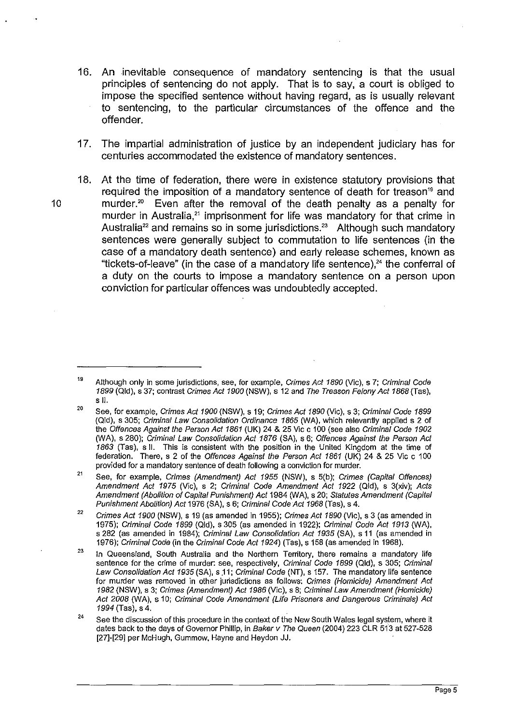- 16. An inevitable consequence of mandatory sentencing is that the usual principles of sentencing do not apply. That is to say, a court is obliged to impose the specified sentence without having regard, as is usually relevant to sentencing, to the particular circumstances of the offence and the offender.
- 17. The impartial administration of justice by an independent judiciary has for centuries accommodated the existence of mandatory sentences.
- 18. At the time of federation, there were in existence statutory provisions that required the imposition of a mandatory sentence of death for treason<sup>19</sup> and 10 murder.20 Even after the removal of the death penalty as a penalty for murder in Australia,<sup>21</sup> imprisonment for life was mandatory for that crime in Australia<sup>22</sup> and remains so in some jurisdictions.<sup>23</sup> Although such mandatory sentences were generally subject to commutation to life sentences (in the case of a mandatory death sentence) and early release schemes, known as "tickets-of-leave" (in the case of a mandatory life sentence), $24$  the conferral of a duty on the courts to impose a mandatory sentence on a person upon conviction for particular offences was undoubtedly accepted.

 $21$ See, for example, Crimes (Amendment) Act 1955 (NSW), s 5(b); Crimes (Capital Offences) Amendment Act 1975 (Vic), s 2; Criminal Code Amendment Act 1922 (Qld), s 3(xiv); Acts Amendment (Abolition of Capital Punishment) Act 1984 (WA), s 20; Statutes Amendment (Capital Punishment Abolition) Act 1976 (SA), s 6; Criminal Code Act 1968 (Tas), s 4.

22 Crimes Act 1900 (NSW), s 19 (as amended in 1955); Crimes Act 1890 (Vic), s 3 (as amended in 1975); Criminal Code 1899 (Qld), s 305 (as amended in 1922); Criminal Code Act 1913 (WA). s 282 (as amended in 1984); Criminal Law Consolidation Act 1935 (SA), s 11 (as amended in 1976); Criminal Code (in the Criminal Code Act 1924) (Tas), s 158 (as amended in 1968).

23 In Queensland, South Australia and the Northern Territory, there remains a mandatory life sentence for the crime of murder: see, respectively, Criminal Code 1899 (Qld), s 305; Criminal Law Consolidation Act 1935 (SA), s 11; Criminal Code (NT), s 157. The mandatory life sentence for murder was removed in other jurisdictions as follows: Crimes (Homicide) Amendment Act 1982 (NSW), s 3; Crimes (Amendment) Act 1986 (Vic), s 8; Criminal Law Amendment (Homicide) Act 2008 (WA), s 10; Criminal Code Amendment (Life Prisoners and Dangerous Criminals) Act 1994 (Tas), s 4.

24 See the discussion of this procedure in the context of the New South Wales legal system, where it dates back to the days of Governor Phillip, in Baker v The Queen (2004) 223 CLR 513 at 527-528 [27]-[29] per McHugh, Gummow, Hayne and Heydon JJ.

<sup>19</sup>  Although only in some jurisdictions, see, for example, Crimes Act 1890 (Vic), s 7; Criminal Code 1899 (Qld), s 37; contrast Crimes Act 1900 (NSW), s 12 and The Treason Felony Act 1868 (Tas), s 11.

<sup>20</sup>  See, for example, Crimes Act 1900 (NSW), s 19; Crimes Act 1890 (Vic), s 3; Criminal Code 1899 (Qld), s 305; Criminal Law Consolidation Ordinance 1865 (WA), which relevantly applied s 2 of the Offences Against the Person Act 1861 (UK) 24 & 25 Vic c 100 (see also Criminal Code 1902 (WA), s 280); Criminal Law Consolidation Act 1876 (SA), s 6; Offences Against the Person Act 1863 (Tas), s 11. This is consistent with the position in the United Kingdom at the time of federation. There, s 2 of the Offences Against the Person Act 1861 (UK) 24 & 25 Vic c 100 provided for a mandatory sentence of death following a conviction for murder.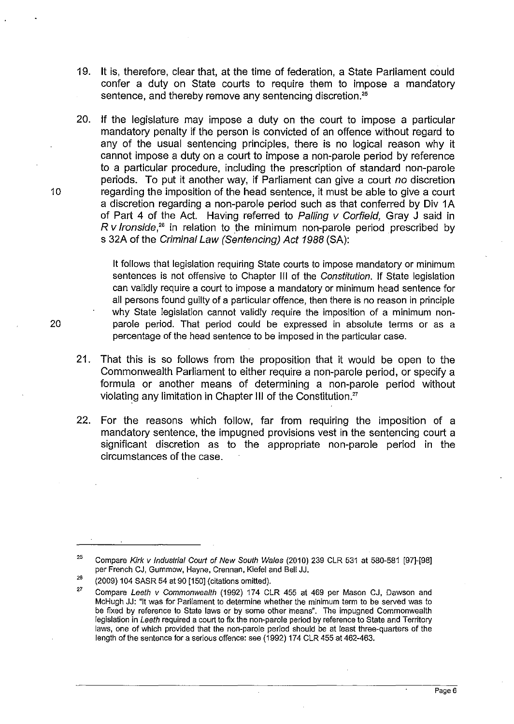- 19. It is, therefore, clear that, at the time of federation, a State Parliament could confer a duty on State courts to require them to impose a mandatory sentence, and thereby remove any sentencing discretion.<sup>25</sup>
- 20. If the legislature may impose a duty on the court to impose a particular mandatory penalty if the person is convicted of an offence without regard to any of the usual sentencing principles, there is no logical reason why it cannot impose a duty on a court to impose a non-parole period by reference to a particular procedure, including the prescription of standard non-parole periods. To put it another way, if Parliament can give a court no discretion 10 regarding the imposition of the head sentence, it must be able to give a court a discretion regarding a non-parole period such as that conferred by Div 1A of Part 4 of the Act. Having referred to Palling v Corfield, Gray J said in  $R$  v *lronside*,<sup>26</sup> in relation to the minimum non-parole period prescribed by s 32A of the Criminal Law (Sentencing) Act 1988 (SA):

It follows that legislation requiring State courts to impose mandatory or minimum sentences is not offensive to Chapter III of the Constitution. If State legislation can validly require a court to impose a mandatory or minimum head sentence for all persons found guilty of a particular offence, then there is no reason in principle why State legislation cannot validly require the imposition of a minimum nonparole period. That period could be expressed in absolute terms or as a percentage of the head sentence to be imposed in the particular case.

- 21. That this is so follows from the proposition that it would be open to the Commonwealth Parliament to either require a non-parole period, or specify a formula or another means of determining a non-parole period without violating any limitation in Chapter **III** of the Constitution."
- 22. For the reasons which follow, far from requiring the imposition of a mandatory sentence, the impugned provisions vest in the sentencing court a significant discretion as to the appropriate non-parole period in the circumstances of the case.

<sup>25</sup>  Compare Kirk v Industrial Court of New South Wales (2010) 239 CLR 531 at 580-581 [97]-[98] per French CJ, Gummow, Hayne, Crennan, Kiefel and Sell JJ.

 $\frac{26}{27}$ (2009) 104 SASR 54 at 90 [150] (citations omitted).

Compare Leeth v Commonwealth (1992) 174 CLR 455 at 469 per Mason CJ, Dawson and McHugh JJ: "It was for Parliament to determine whether the minimum term to be served was to be fixed by reference to State laws or by some other means". The impugned Commonwealth legislation in Leeth required a court to fix the non-parole period by reference to State and Territory laws, one of which provided that the non-parole period should be at least three-quarters of the length of the sentence for a serious offence: see (1992) 174 CLR 455 at 462-463.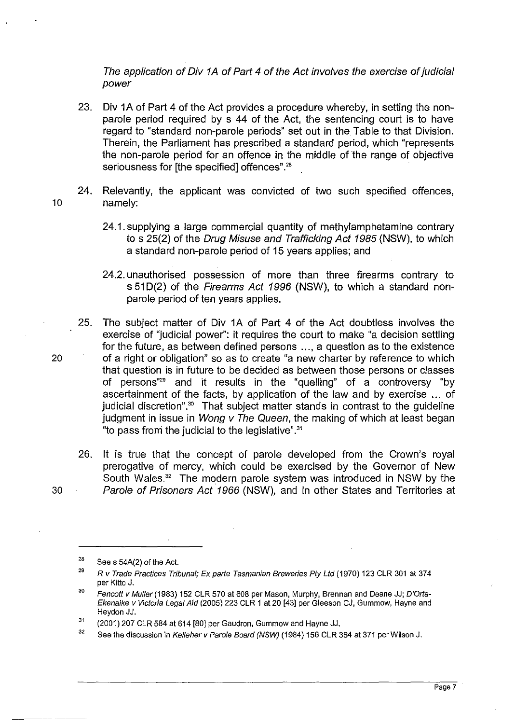The application of Div 1A of Part 4 of the Act involves the exercise of judicial power

- 23. Div 1A of Part 4 of the Act provides a procedure whereby, in setting the nonparole period required by s 44 of the Act, the sentencing court is to have regard to "standard non-parole periods" set out in the Table to that Division. Therein, the Parliament has prescribed a standard period, which "represents the non-parole period for an offence in the middle of the range of objective seriousness for [the specified] offences".<sup>28</sup>
- 24. Relevantly, the applicant was convicted of two such specified offences, 10 namely:
	- 24.1. supplying a large commercial quantity of methylamphetamine contrary to s 25(2) of the Drug Misuse and Trafficking Act 1985 (NSW), to which a standard non-parole period of 15 years applies; and
	- 24.2. unauthorised possession of more than three firearms contrary to s 51 D(2) of the Firearms Act 1996 (NSW), to which a standard nonparole period of ten years applies.
- 25. The subject matter of Div 1A of Part 4 of the Act doubtless involves the exercise of "judicial power": it requires the court to make "a decision settling for the future, as between defined persons ... , a question as to the existence 20 of a right or obligation" so as to create "a new charter by reference to which that question is in future to be decided as between those persons or classes of persons"<sup>29</sup> and it results in the "quelling" of a controversy "by ascertainment of the facts, by application of the law and by exercise ... of judicial discretion".<sup>30</sup> That subject matter stands in contrast to the quideline judgment in issue in Wong v The Queen, the making of which at least began "to pass from the judicial to the legislative".31
- 26. It is true that the concept of parole developed from the Crown's royal prerogative of mercy, which could be exercised by the Governor of New South Wales.<sup>32</sup> The modern parole system was introduced in NSW by the 30 Parole of Prisoners Act 1966 (NSW), and in other States and Territories at
- 

Page 7

<sup>28</sup>  See s 54A(2) of the Act.

<sup>29</sup>  R *v* Trade Practices Tribunal; Ex parte Tasmanian Breweries pty Lld (1970) 123 CLR 301 at 374 per Kitto J.

<sup>30</sup>  Fencott v Muller (1983) 152 CLR 570 at 608 per Mason, Murphy, Brennan and Deane JJ; D'Orta-Ekenaike v Victoria Legal Aid (2005) 223 CLR 1 at 20 [43] per Gleeson CJ, Gummow, Hayne and Heydon JJ.

<sup>31</sup>  (2001) 207 CLR 584 at 614 [80] per Gaudron, Gummow and Hayne JJ.

<sup>32</sup> See the discussion in Kelleher v Parole Board (NSW) (1984) 156 CLR 364 at 371 per Wilson J.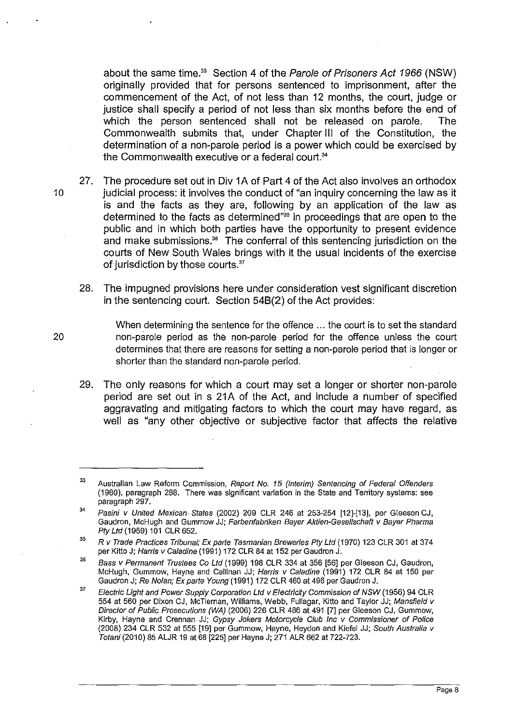about the same time.<sup>33</sup> Section 4 of the Parole of Prisoners Act 1966 (NSW) originally provided that for persons sentenced to imprisonment, after the commencement of the Act, of not less than 12 months, the court, judge or justice shall specify a period of not less than six months before the end of which the person sentenced shall not be released on parole. The Commonwealth submits that, under Chapter III of the Constitution, the determination of a non-parole period is a power which could be exercised by the Commonwealth executive or a federal court.<sup>34</sup>

- 27. The procedure set out in Div 1A of Part 4 of the Act also involves an orthodox 10 judicial process: it involves the conduct of "an inquiry concerning the law as it is and the facts as they are, following by an application of the law as determined to the facts as determined"<sup>35</sup> in proceedings that are open to the public and in which both parties have the opportunity to present evidence and make submissions.<sup>36</sup> The conferral of this sentencing jurisdiction on the courts of New South Wales brings with it the usual incidents of the exercise of jurisdiction by those courts."
	- 28. The impugned provisions here under consideration vest significant discretion in the sentencing court. Section 548(2) of the Act provides:

When determining the sentence for the offence ... the court is to set the standard non-parole period as the non-parole period for the offence unless the court determines that there are reasons for setting a non-parole period that is longer or shorter than the standard non-parole period.

29. The only reasons for which a court may set a longer or shorter non-parole period are set out in s 21A of the Act, and include a number of specified aggravating and mitigating factors to which the court may have regard, as well as "any other objective or subjective factor that affects the relative

<sup>33</sup>  Australian Law Reform Commission. Report No. 15 (Interim) Sentencing of Federal Offenders (1980), paragraph 288. There was significant variation in the State and Territory systems: see paragraph 297.

<sup>34</sup>  Pasini v United Mexican· States (2002) 209 CLR 246 at 253-254 [12]-[13], per Gleeson CJ, Gaudron, McHugh and Gummow JJ; Farbenfabriken Bayer Aktien-Gesel/schaft v Bayer Pharma Pty Ltd (1959) 101 CLR 652.

<sup>35</sup>  R v Trade Practices Tribunal; Ex parte Tasmanian Breweries pty Ltd (1970) 123 CLR 301 at 374 per Kitto J; Harris v Caladine (1991) 172 CLR 84 at 152 per Gaudron J.

<sup>36</sup> Bass v Permanent Trustees Co Ltd (1999) 198 CLR 334 at 356 [56] per Gleeson CJ, Gaudron, McHugh, Gummow, Hayne and Callinan JJ; Harris v Caladine (1991) 172 CLR 84 at 150 per Gaudron J; Re Nolan; Ex parte Young'(1991) 172 CLR 460 at 496 per Gaudron J,

<sup>37</sup> Electric Light and Power Supply Corporation Ltd v Electricity Commission of NSW (1956) 94 CLR 554 at 560 per Dixon CJ, McTiernan, Williams, Webb, Fullagar, Kitto and Taylor JJ; Mansfield v Director of Public Prosecutions (WA) (2006) 226 CLR 486 at 491 [7] per Gleeson CJ, Gummow, Kirby, Hayne and Crennan JJ; Gypsy Jokers Motorcycle Club Inc v Commissioner of Police (2008) 234 CLR 532 at 555 [19] per Gummow, Hayne, Heydon and Kiefel JJ; South Australia v Totani (2010) 85 ALJR 19 at 68 [225] per Hayne J; 271 ALR 662 at 722-723.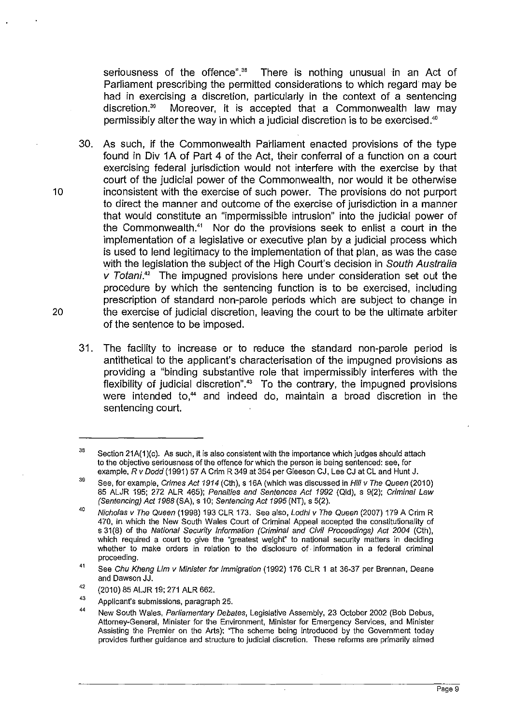seriousness of the offence".<sup>38</sup> There is nothing unusual in an Act of Parliament prescribing the permitted considerations to which regard may be had in exercising a discretion, particularly in the context of a sentencing discretion.39 Moreover, it is accepted that a Commonwealth law may permissibly alter the way in which a judicial discretion is to be exercised.<sup>40</sup>

- 30. As such, if the Commonwealth Parliament enacted provisions of the type found in Div 1A of Part 4 of the Act, their conferral of a function on a court exercising federal jurisdiction would not interfere with the exercise by that court of the judicial power of the Commonwealth, nor would it be otherwise 10 inconsistent with the exercise of such power. The provisions do not purport to direct the manner and outcome of the exercise of jurisdiction in a manner that would constitute an "impermissible intrusion" into the judicial power of the Commonwealth.41 Nor do the provisions seek to enlist a court in the implementation of a legislative or executive plan by a judicial process which is used to lend legitimacy to the implementation of that plan, as was the case with the legislation the subject of the High Court's decision in South Australia  $v$  Totani.<sup>42</sup> The impugned provisions here under consideration set out the procedure by which the sentencing function is to be exercised, including prescription of standard non-parole periods which are subject to change in 20 the exercise of judicial discretion, leaving the court to be the ultimate arbiter of the sentence to be imposed.
	- 31. The facility to increase or to reduce the standard non-parole period is antithetical to the applicant's characterisation of the impugned provisions as providing a "binding substantive role that impermissibly interferes with the flexibility of judicial discretion".<sup>43</sup> To the contrary, the impugned provisions were intended to,<sup>44</sup> and indeed do, maintain a broad discretion in the sentencing court.

<sup>38</sup>  Section 21A(1)(c). As such, it is also consistent with the importance which judges should attach to the objective seriousness of the offence for which the person is being sentenced: see, for example, R v Dodd (1991) 57 A Crim R 349 at 354 per Gleeson CJ, Lee CJ at CL and Hunt J.

<sup>39</sup>  See, for example, Crimes Act 1914 (Cth), s 16A (which was discussed in Hili v The Queen (2010) 85 ALJR 195; 272 ALR 465); Penalties and Sentences Act 1992 (Old), s 9(2); Criminal Law (Sentencing) Act 1988 (SA), s 10; Sentencing Act 1995 (NT), s 5(2).

<sup>40</sup>  Nicholas v The Queen (1998) 193 CLR 173. See also, Lodhi v The Queen (2007) 179 A Crim R 470, in which the New South Wales Court of Criminal Appeal accepted the constitutionality of s 31(8) of the National Security Information (Criminal and Civil Proceedings) Act 2004 (Cth), which required a court to give the "greatest weight" to national security matters in deciding whether to make orders in relation to the disclosure of· infomnation in a federal criminal proceeding.

<sup>41</sup>  See Chu Kheng Lim v Minister for Immigration (1992) 176 CLR 1 at 36-37 per Brennan, Deane and Dawson JJ.

<sup>42</sup>  (2010) 85 ALJR 19; 271 ALR 662.

<sup>43</sup>  Applicant's submissions, paragraph 25.

<sup>44</sup>  New South Wales, Parliamentary Debates, Legislative Assembly, 23 October 2002 (Bob Debus, Attorney-General, Minister for the Environment, Minister for Emergency Services, and Minister ASSisting the Premier on the Arts): "The scheme being introduced by the Government today provides further guidance and structure to judicial discretion. These reforms are primarily aimed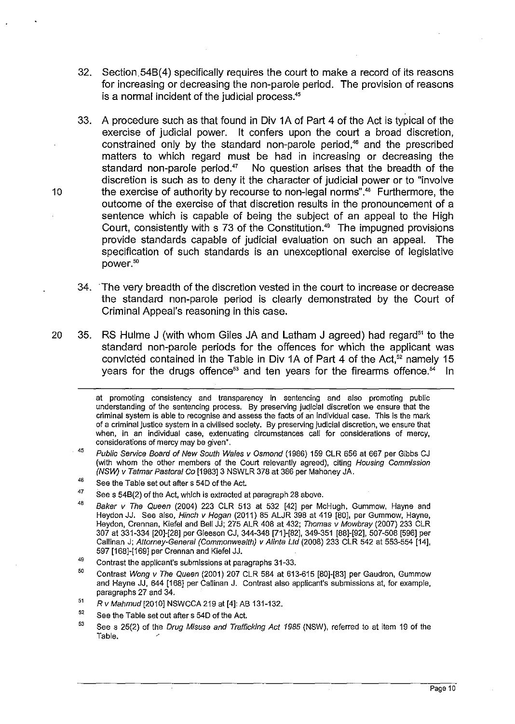- 32. Section 54B(4) specifically requires the court to make a record of its reasons for increasing or decreasing the non-parole period. The provision of reasons is a normal incident of the judicial process.<sup>45</sup>
- 33. A procedure such as that found in Div 1A of Part 4 of the Act is typical of the exercise of judicial power. It confers upon the court a broad discretion, constrained only by the standard non-parole period,<sup>46</sup> and the prescribed matters to which regard must be had in increasing or decreasing the standard non-parole period. $47$  No question arises that the breadth of the discretion is such as to deny it the character of judicial power or to "involve 10 the exercise of authority by recourse to non-legal norms".48 Furthermore, the outcome of the exercise of that discretion results in the pronouncement of a sentence which is capable of being the subject of an appeal to the High Court, consistently with s 73 of the Constitution.<sup>49</sup> The impugned provisions provide standards capable of judicial evaluation on such an appeal. The specification of such standards is an unexceptional exercise of legislative power.50
	- 34. . The very breadth of the discretion vested in the court to increase or decrease the standard non-parole period is clearly demonstrated by the Court of Criminal Appeal's reasoning in this case.
- 20 35. RS Hulme J (with whom Giles JA and Latham J agreed) had regard<sup>51</sup> to the standard non-parole periods for the offences for which the applicant was convicted contained in the Table in Div 1A of Part 4 of the Act.<sup>52</sup> namely 15 years for the drugs offence<sup>53</sup> and ten years for the firearms offence.<sup>54</sup> In

- 51 Rv Mahmud [2010] NSWCCA 219 at [4]: AB 131-132.
- 52 See the Table set out after s 54D of the Act.
- 53 See s 25(2) of the Drug Misuse and Trafficking Act 1985 (NSW), referred to at item 19 of the Table.

at promoting consistency and transparency in sentencing and also promoting public understanding of the sentencing process. By preserving judicial discretion we ensure that the criminal system is able to recognise and assess the facts of an individual case. This is the mark of a criminal justice system in a civilised society. By preserving judicial discretion, we ensure that when, in an individual case, extenuating circumstances call for considerations of mercy, considerations of mercy may be given".

<sup>45</sup>  Public Service Board of New South Wales v Osmond (1986) 159 CLR 656 at 667 per Gibbs CJ (with whom the other members of the Court relevantly agreed), citing Housing Commission (NSW) v Tatmar Pastoral Co [1983] 3 NSWLR 378 at 386 per Mahoney JA.

<sup>46</sup> See the Table set out after s 54D of the Act.

<sup>47</sup>  See s 54B(2) of the Act, which is extracted at paragraph 28 above.

<sup>48</sup>  Baker v The Queen (2004) 223 CLR 513 at 532 [42] per McHugh, Gummow, Hayne and Heydon JJ. See also, Hinch v Hogan (2011) 85 ALJR 398 at 419 [80], per Gummow, Hayne, Heydon, Crennan, Kiefel and Bell JJ; 275 ALR 408 at 432; Thomas v Mowbray (2007) 233 CLR 307 at 331-334 [20]-[28] per Gleeson CJ, 344-348 [71]-[82], 349-351 [88]-[92],507-508 [596] per Callinan J; Attorney·General (Commonwealth) v Alinta Lld (2008) 233 CLR 542 at 553-554 [14], 597 [168]-[169] per Crennan and Kiefel JJ.

<sup>49</sup>  Contrast the applicant's submissions at paragraphs 31-33.

<sup>50</sup>  Contrast Wong v The Queen (2001) 207 CLR 584 at 613-615 [80]-[83] per Gaudron, Gummow and Hayne JJ, 644 [168] per Callinan J. Contrast also applicant's submissions at, for example, paragraphs 27 and 34.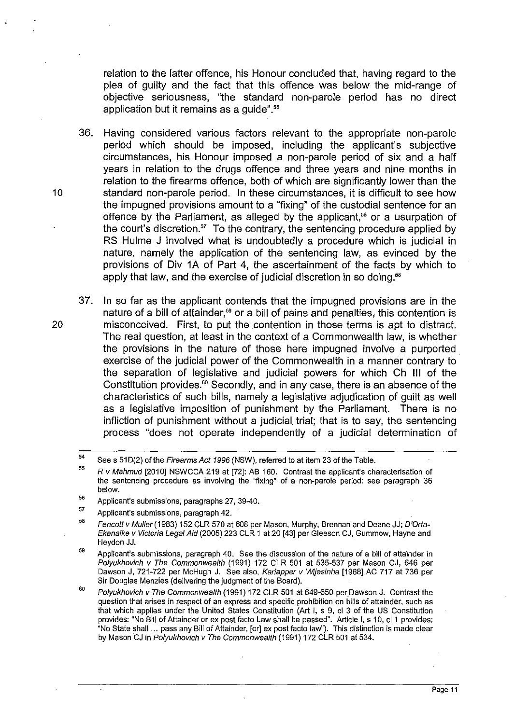relation to the latter offence, his Honour concluded that, having regard to the plea of guilty and the fact that this offence was below the mid-range of objective seriousness, "the standard non-parole period has no direct application but it remains as a guide".<sup>55</sup>

36. Having considered various factors relevant to the appropriate non-parole period which should be imposed, including the applicant's subjective circumstances, his Honour imposed a non-parole period of six and a half years in relation to the drugs offence and three years and nine months in relation to the firearms offence, both of which are significantly lower than the 10 standard non-parole period. In these circumstances, it is difficult to see how the impugned provisions amount to a "fixing" of the custodial sentence for an offence by the Parliament, as alleged by the applicant,<sup>56</sup> or a usurpation of the court's discretion. $57$  To the contrary, the sentencing procedure applied by RS Hulme J involved what is undoubtedly a procedure which is judicial in nature, namely the application of the sentencing law, as evinced by the provisions of Div 1A of Part 4, the ascertainment of the facts by which to apply that law, and the exercise of judicial discretion in so doing.<sup>58</sup>

37. In so far as the applicant contends that the impugned provisions are in the nature of a bill of attainder,<sup>59</sup> or a bill of pains and penalties, this contention is 20 misconceived. First, to put the contention in those terms is apt to distract. The real question, at least in the context of a Commonwealth law, is whether the provisions in the nature of those here impugned involve a purported exercise of the judicial power of the Commonwealth in a manner contrary to the separation of legislative and judicial powers for which Ch III of the Constitution provides.<sup>60</sup> Secondly, and in any case, there is an absence of the characteristics of such bills, namely a legislative adjudication of guilt as well as a legislative imposition of punishment by the Parliament. There is no infliction of punishment without a judicial. trial; that is to say, the sentencing process "does not operate independently of a judicial determination of

<sup>54</sup>  See s 51D(2) of the Firearms Act 1996 (NSW), referred to at item 23 of the Table.

<sup>55</sup>  Rv Mahmud [2010] NSWCCA 219 at [72]: AB 160. Contrast the applicant's characterisation of the sentencing procedure as involving the "fixing" of a non-parole period: see paragraph 36 below.

<sup>56</sup>  Applicant's submissions, paragraphs 27, 39-40.

<sup>57</sup>  Applicant's submissions, paragraph 42.

<sup>58</sup>  Fencott v Muller (1983) 152 CLR 570 at 608 per Mason, Murphy, Brennan and Deane JJ; D'Orta-Ekenaike v Victoria Legal Aid (2005) 223 CLR 1 at 20 [43] per Gleeson CJ, Gummow, Hayne and Heydon JJ.

<sup>59</sup> Applicant's submissions, paragraph 40. See the discussion of the nature of a bill of attainder in Polyukhovich v The Commonwealth (1991) 172 CLR 501 at 535-537 per Mason CJ, 646 per Dawson J, 721-722 per McHugh J. See also, Kariapper v Wijesinha [1968] AC 717 at 736 per Sir Douglas Menzies (delivering the judgment of the Board).

<sup>60</sup>  Polyukhovich v The Commonwealth (1991) 172 CLR 501 at 649-650 per Dawson J. Contrast the question that arises in respect of an express and specific prohibition on bills of attainder, such as that which applies under the United States Constitution (Art I, s 9, cl 3 of the US Constitution provides: "No Bill of Attainder or ex post facto Law shall be passed". Article I, s 10, cl1 provides: "No State shall ... pass any Bill of Attainder, [or] ex post facto law"). This distinction is made clear by Mason CJ in Polyukhovich v The Commonwealth (1991) 172 CLR 501 at 534.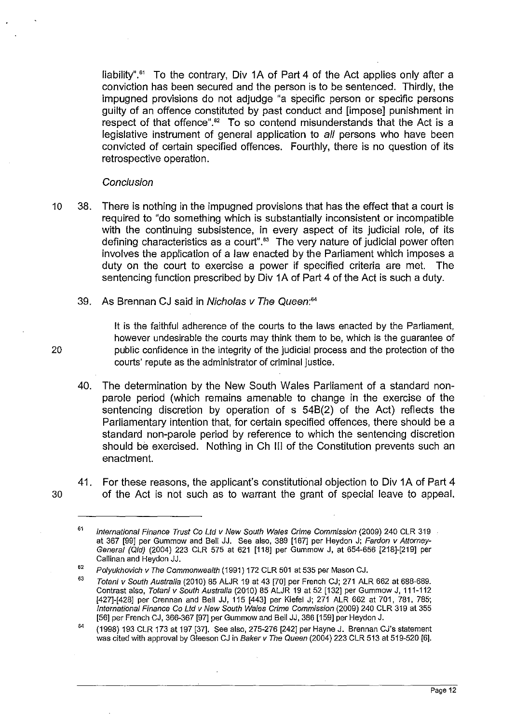liability".<sup>61</sup> To the contrary, Div 1A of Part 4 of the Act applies only after a conviction has been secured and the person is to be sentenced. Thirdly, the impugned provisions do not adjudge "a specific person or specific persons guilty of an offence constituted by past conduct and [impose] punishment in respect of that offence".<sup>62</sup> To so contend misunderstands that the Act is a legislative instrument of general application to all persons who have been convicted of certain specified offences. Fourthly, there is no question of its retrospective operation.

## **Conclusion**

- 10 38. There is nothing in the impugned provisions that has the effect that a court is required to "do something which is substantially inconsistent or incompatible with the continuing subsistence, in every aspect of its judicial role, of its defining characteristics as a court".<sup>63</sup> The very nature of judicial power often involves the application of a law enacted by the Parliament which imposes a duty on the court to exercise a power if specified criteria are met. The sentencing function prescribed by Div 1A of Part 4 of the Act is such a duty.
	- 39. As Brennan CJ said in Nicholas v The Queen:<sup>64</sup>

It is the faithful adherence of the courts to the laws enacted by the Parliament, however undesirable the courts may think them to be, which is the guarantee of 20 public confidence in the integrity of the judicial process and the protection of the courts' repute as the administrator of criminal justice.

- 40. The determination by the New South Wales Parliament of a standard nonparole period (which remains amenable to change in the exercise of the sentencing discretion by operation of s 54B(2) of the Act) reflects the Parliamentary intention that, for certain specified offences, there should be a standard non-parole period by reference to which the sentencing discretion should be exercised. Nothing in Ch **III** of the Constitution prevents such an enactment.
- 41. For these reasons, the applicant's constitutional objection to Div 1A of Part 4 30 of the Act is not such as to warrant the grant of special leave to appeal.

<sup>61</sup>  International Finance Trust Co Lld v New South Wales Crime Commission (2009) 240 CLR 319 at 367 [99] per Gummow and Bell JJ. See also, 389 [167] per Heydon J; Fardon v Attorney-General (Qld) (2004) 223 CLR 575 at 621 [118J per Gummow J, at 654-656 [218J-[219J per Callinan and Heydon JJ.

<sup>62</sup>  Polyukhovich v The Commonwealth (1991) 172 CLR 501 at 535 per Mason CJ.

<sup>63</sup> Totani v South Australia (2010) 85 ALJR 19 at 43 [70J per French CJ; 271 ALR 662 at 688-689. Contrast also, Totani v South Australia (2010) 85 ALJR 19 at 52 [132] per Gummow J, 111-112 [427J-[428J per Crennan and Bell JJ, 115 [443J per Kiefel J; 271 ALR 662 at 701, 781, 785; International Finance Co Lld v New South Wales Crime Commission (2009) 240 CLR 319 at 355 [56] per French CJ, 366-367 [97] per Gummow and Bell JJ, 386 [159] per Heydon J.

<sup>64</sup>  (1998) 193 CLR 173 at 197 [37J. See also, 275-276 [242J per Hayne J. Brennan CJ's statement was cited with approval by Gleeson CJ in Baker v The Queen (2004) 223 CLR 513 at 519-520 [61.